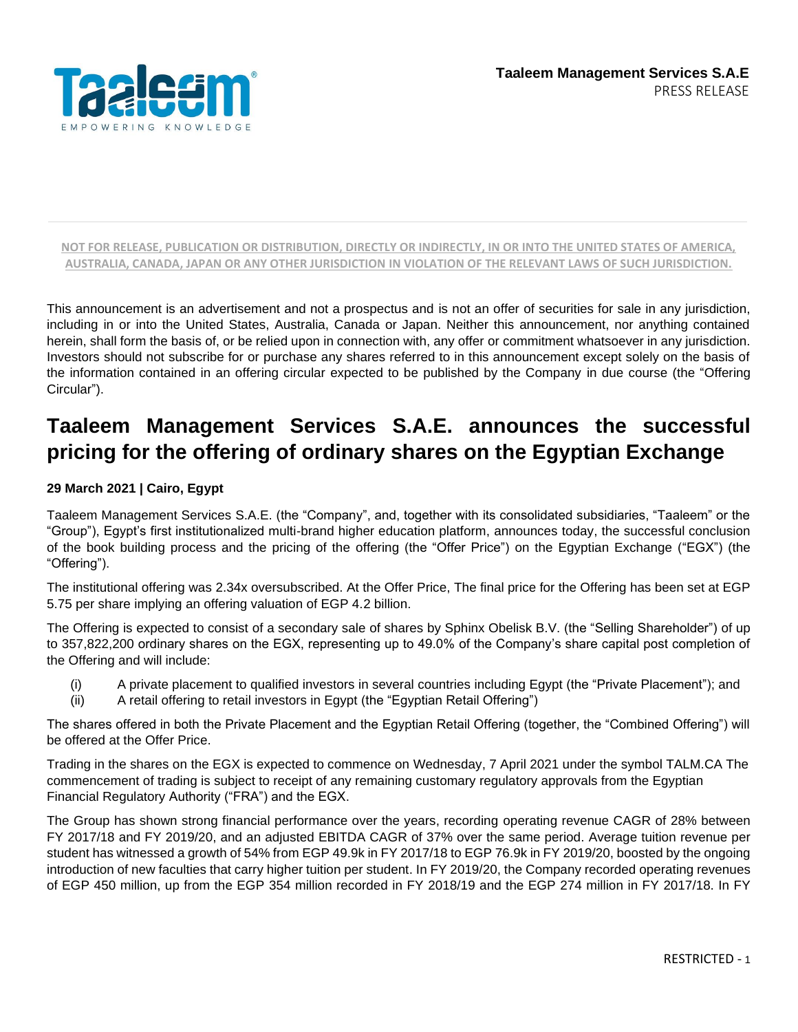

This announcement is an advertisement and not a prospectus and is not an offer of securities for sale in any jurisdiction, including in or into the United States, Australia, Canada or Japan. Neither this announcement, nor anything contained herein, shall form the basis of, or be relied upon in connection with, any offer or commitment whatsoever in any jurisdiction. Investors should not subscribe for or purchase any shares referred to in this announcement except solely on the basis of the information contained in an offering circular expected to be published by the Company in due course (the "Offering Circular").

# **Taaleem Management Services S.A.E. announces the successful pricing for the offering of ordinary shares on the Egyptian Exchange**

#### **29 March 2021 | Cairo, Egypt**

Taaleem Management Services S.A.E. (the "Company", and, together with its consolidated subsidiaries, "Taaleem" or the "Group"), Egypt's first institutionalized multi-brand higher education platform, announces today, the successful conclusion of the book building process and the pricing of the offering (the "Offer Price") on the Egyptian Exchange ("EGX") (the "Offering").

The institutional offering was 2.34x oversubscribed. At the Offer Price, The final price for the Offering has been set at EGP 5.75 per share implying an offering valuation of EGP 4.2 billion.

The Offering is expected to consist of a secondary sale of shares by Sphinx Obelisk B.V. (the "Selling Shareholder") of up to 357,822,200 ordinary shares on the EGX, representing up to 49.0% of the Company's share capital post completion of the Offering and will include:

- (i) A private placement to qualified investors in several countries including Egypt (the "Private Placement"); and
- (ii) A retail offering to retail investors in Egypt (the "Egyptian Retail Offering")

The shares offered in both the Private Placement and the Egyptian Retail Offering (together, the "Combined Offering") will be offered at the Offer Price.

Trading in the shares on the EGX is expected to commence on Wednesday, 7 April 2021 under the symbol TALM.CA The commencement of trading is subject to receipt of any remaining customary regulatory approvals from the Egyptian Financial Regulatory Authority ("FRA") and the EGX.

The Group has shown strong financial performance over the years, recording operating revenue CAGR of 28% between FY 2017/18 and FY 2019/20, and an adjusted EBITDA CAGR of 37% over the same period. Average tuition revenue per student has witnessed a growth of 54% from EGP 49.9k in FY 2017/18 to EGP 76.9k in FY 2019/20, boosted by the ongoing introduction of new faculties that carry higher tuition per student. In FY 2019/20, the Company recorded operating revenues of EGP 450 million, up from the EGP 354 million recorded in FY 2018/19 and the EGP 274 million in FY 2017/18. In FY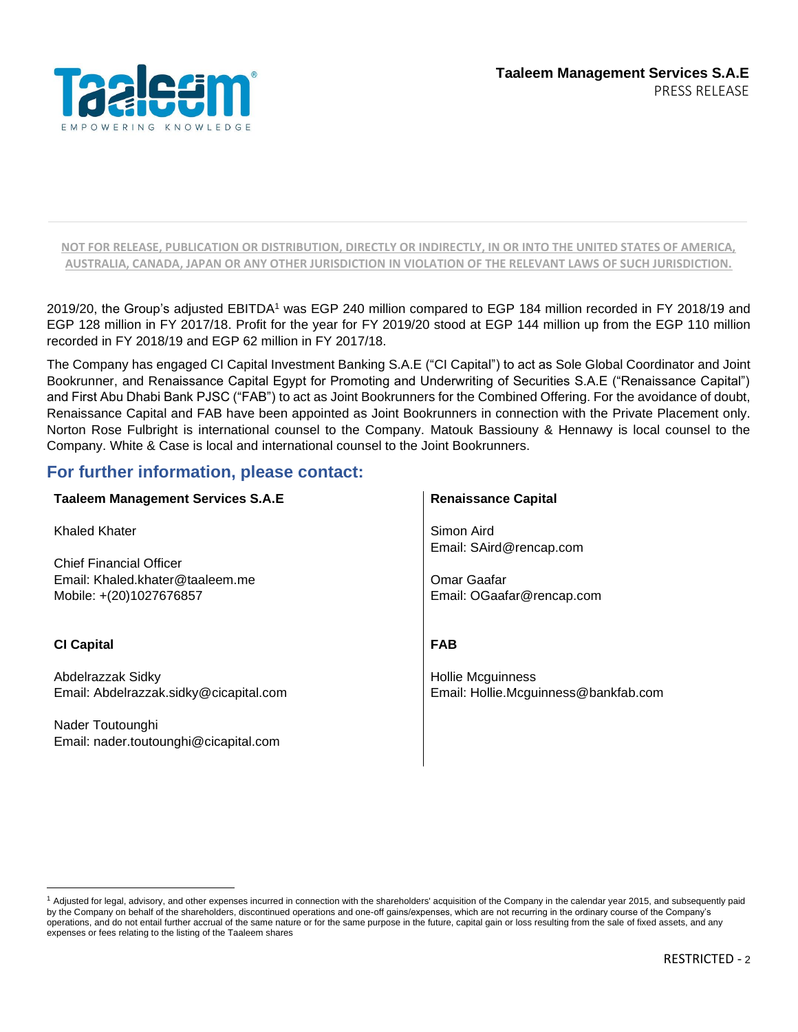

2019/20, the Group's adjusted EBITDA<sup>1</sup> was EGP 240 million compared to EGP 184 million recorded in FY 2018/19 and EGP 128 million in FY 2017/18. Profit for the year for FY 2019/20 stood at EGP 144 million up from the EGP 110 million recorded in FY 2018/19 and EGP 62 million in FY 2017/18.

The Company has engaged CI Capital Investment Banking S.A.E ("CI Capital") to act as Sole Global Coordinator and Joint Bookrunner, and Renaissance Capital Egypt for Promoting and Underwriting of Securities S.A.E ("Renaissance Capital") and First Abu Dhabi Bank PJSC ("FAB") to act as Joint Bookrunners for the Combined Offering. For the avoidance of doubt, Renaissance Capital and FAB have been appointed as Joint Bookrunners in connection with the Private Placement only. Norton Rose Fulbright is international counsel to the Company. Matouk Bassiouny & Hennawy is local counsel to the Company. White & Case is local and international counsel to the Joint Bookrunners.

# **For further information, please contact:**

| <b>Taaleem Management Services S.A.E</b> | <b>Renaissance Capital</b>           |
|------------------------------------------|--------------------------------------|
| Khaled Khater                            | Simon Aird                           |
|                                          | Email: SAird@rencap.com              |
| <b>Chief Financial Officer</b>           |                                      |
| Email: Khaled.khater@taaleem.me          | Omar Gaafar                          |
| Mobile: +(20)1027676857                  | Email: OGaafar@rencap.com            |
| <b>CI Capital</b>                        | <b>FAB</b>                           |
| Abdelrazzak Sidky                        | <b>Hollie Mcguinness</b>             |
| Email: Abdelrazzak.sidky@cicapital.com   | Email: Hollie.Mcguinness@bankfab.com |
| Nader Toutounghi                         |                                      |
| Email: nader.toutounghi@cicapital.com    |                                      |
|                                          |                                      |

<sup>&</sup>lt;sup>1</sup> Adjusted for legal, advisory, and other expenses incurred in connection with the shareholders' acquisition of the Company in the calendar year 2015, and subsequently paid by the Company on behalf of the shareholders, discontinued operations and one-off gains/expenses, which are not recurring in the ordinary course of the Company's operations, and do not entail further accrual of the same nature or for the same purpose in the future, capital gain or loss resulting from the sale of fixed assets, and any expenses or fees relating to the listing of the Taaleem shares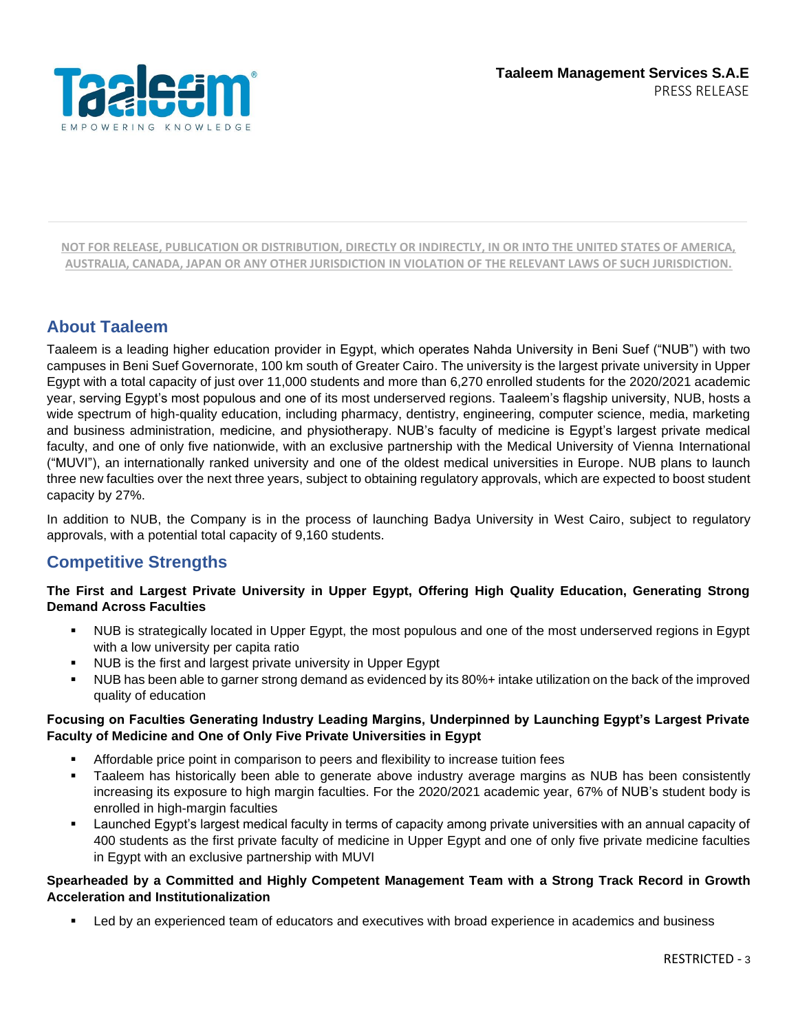

# **About Taaleem**

Taaleem is a leading higher education provider in Egypt, which operates Nahda University in Beni Suef ("NUB") with two campuses in Beni Suef Governorate, 100 km south of Greater Cairo. The university is the largest private university in Upper Egypt with a total capacity of just over 11,000 students and more than 6,270 enrolled students for the 2020/2021 academic year, serving Egypt's most populous and one of its most underserved regions. Taaleem's flagship university, NUB, hosts a wide spectrum of high-quality education, including pharmacy, dentistry, engineering, computer science, media, marketing and business administration, medicine, and physiotherapy. NUB's faculty of medicine is Egypt's largest private medical faculty, and one of only five nationwide, with an exclusive partnership with the Medical University of Vienna International ("MUVI"), an internationally ranked university and one of the oldest medical universities in Europe. NUB plans to launch three new faculties over the next three years, subject to obtaining regulatory approvals, which are expected to boost student capacity by 27%.

In addition to NUB, the Company is in the process of launching Badya University in West Cairo, subject to regulatory approvals, with a potential total capacity of 9,160 students.

# **Competitive Strengths**

### **The First and Largest Private University in Upper Egypt, Offering High Quality Education, Generating Strong Demand Across Faculties**

- NUB is strategically located in Upper Egypt, the most populous and one of the most underserved regions in Egypt with a low university per capita ratio
- NUB is the first and largest private university in Upper Egypt
- NUB has been able to garner strong demand as evidenced by its 80%+ intake utilization on the back of the improved quality of education

#### **Focusing on Faculties Generating Industry Leading Margins, Underpinned by Launching Egypt's Largest Private Faculty of Medicine and One of Only Five Private Universities in Egypt**

- Affordable price point in comparison to peers and flexibility to increase tuition fees
- Taaleem has historically been able to generate above industry average margins as NUB has been consistently increasing its exposure to high margin faculties. For the 2020/2021 academic year, 67% of NUB's student body is enrolled in high-margin faculties
- Launched Egypt's largest medical faculty in terms of capacity among private universities with an annual capacity of 400 students as the first private faculty of medicine in Upper Egypt and one of only five private medicine faculties in Egypt with an exclusive partnership with MUVI

#### **Spearheaded by a Committed and Highly Competent Management Team with a Strong Track Record in Growth Acceleration and Institutionalization**

Led by an experienced team of educators and executives with broad experience in academics and business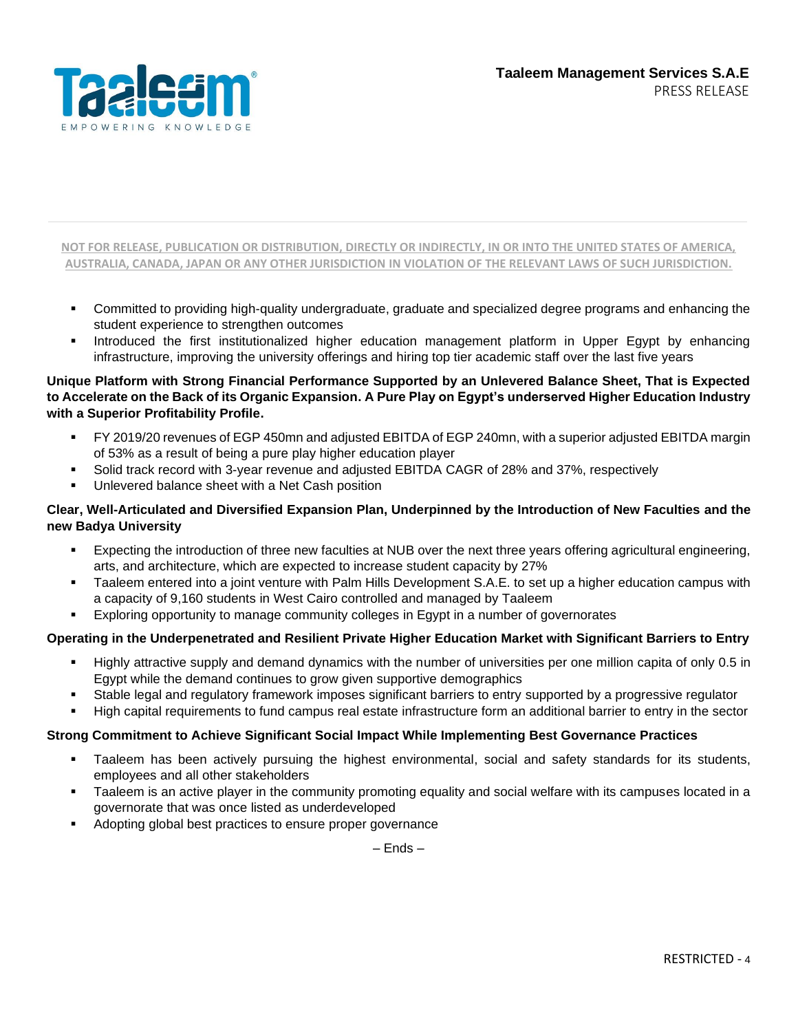

- Committed to providing high-quality undergraduate, graduate and specialized degree programs and enhancing the student experience to strengthen outcomes
- Introduced the first institutionalized higher education management platform in Upper Egypt by enhancing infrastructure, improving the university offerings and hiring top tier academic staff over the last five years

### **Unique Platform with Strong Financial Performance Supported by an Unlevered Balance Sheet, That is Expected to Accelerate on the Back of its Organic Expansion. A Pure Play on Egypt's underserved Higher Education Industry with a Superior Profitability Profile.**

- FY 2019/20 revenues of EGP 450mn and adjusted EBITDA of EGP 240mn, with a superior adjusted EBITDA margin of 53% as a result of being a pure play higher education player
- Solid track record with 3-year revenue and adjusted EBITDA CAGR of 28% and 37%, respectively
- Unlevered balance sheet with a Net Cash position

### **Clear, Well-Articulated and Diversified Expansion Plan, Underpinned by the Introduction of New Faculties and the new Badya University**

- Expecting the introduction of three new faculties at NUB over the next three years offering agricultural engineering, arts, and architecture, which are expected to increase student capacity by 27%
- Taaleem entered into a joint venture with Palm Hills Development S.A.E. to set up a higher education campus with a capacity of 9,160 students in West Cairo controlled and managed by Taaleem
- Exploring opportunity to manage community colleges in Egypt in a number of governorates

## **Operating in the Underpenetrated and Resilient Private Higher Education Market with Significant Barriers to Entry**

- Highly attractive supply and demand dynamics with the number of universities per one million capita of only 0.5 in Egypt while the demand continues to grow given supportive demographics
- Stable legal and regulatory framework imposes significant barriers to entry supported by a progressive regulator
- High capital requirements to fund campus real estate infrastructure form an additional barrier to entry in the sector

### **Strong Commitment to Achieve Significant Social Impact While Implementing Best Governance Practices**

- Taaleem has been actively pursuing the highest environmental, social and safety standards for its students, employees and all other stakeholders
- Taaleem is an active player in the community promoting equality and social welfare with its campuses located in a governorate that was once listed as underdeveloped
- Adopting global best practices to ensure proper governance

– Ends –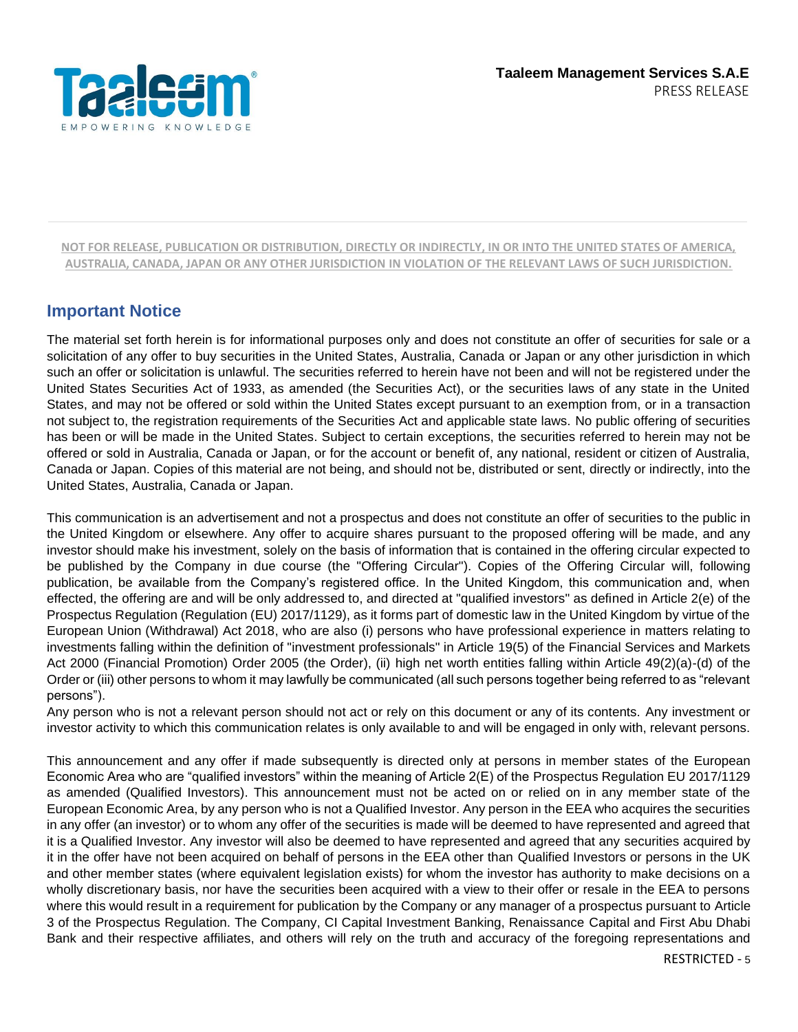

# **Important Notice**

The material set forth herein is for informational purposes only and does not constitute an offer of securities for sale or a solicitation of any offer to buy securities in the United States, Australia, Canada or Japan or any other jurisdiction in which such an offer or solicitation is unlawful. The securities referred to herein have not been and will not be registered under the United States Securities Act of 1933, as amended (the Securities Act), or the securities laws of any state in the United States, and may not be offered or sold within the United States except pursuant to an exemption from, or in a transaction not subject to, the registration requirements of the Securities Act and applicable state laws. No public offering of securities has been or will be made in the United States. Subject to certain exceptions, the securities referred to herein may not be offered or sold in Australia, Canada or Japan, or for the account or benefit of, any national, resident or citizen of Australia, Canada or Japan. Copies of this material are not being, and should not be, distributed or sent, directly or indirectly, into the United States, Australia, Canada or Japan.

This communication is an advertisement and not a prospectus and does not constitute an offer of securities to the public in the United Kingdom or elsewhere. Any offer to acquire shares pursuant to the proposed offering will be made, and any investor should make his investment, solely on the basis of information that is contained in the offering circular expected to be published by the Company in due course (the "Offering Circular"). Copies of the Offering Circular will, following publication, be available from the Company's registered office. In the United Kingdom, this communication and, when effected, the offering are and will be only addressed to, and directed at "qualified investors" as defined in Article 2(e) of the Prospectus Regulation (Regulation (EU) 2017/1129), as it forms part of domestic law in the United Kingdom by virtue of the European Union (Withdrawal) Act 2018, who are also (i) persons who have professional experience in matters relating to investments falling within the definition of "investment professionals" in Article 19(5) of the Financial Services and Markets Act 2000 (Financial Promotion) Order 2005 (the Order), (ii) high net worth entities falling within Article 49(2)(a)-(d) of the Order or (iii) other persons to whom it may lawfully be communicated (all such persons together being referred to as "relevant persons").

Any person who is not a relevant person should not act or rely on this document or any of its contents. Any investment or investor activity to which this communication relates is only available to and will be engaged in only with, relevant persons.

This announcement and any offer if made subsequently is directed only at persons in member states of the European Economic Area who are "qualified investors" within the meaning of Article 2(E) of the Prospectus Regulation EU 2017/1129 as amended (Qualified Investors). This announcement must not be acted on or relied on in any member state of the European Economic Area, by any person who is not a Qualified Investor. Any person in the EEA who acquires the securities in any offer (an investor) or to whom any offer of the securities is made will be deemed to have represented and agreed that it is a Qualified Investor. Any investor will also be deemed to have represented and agreed that any securities acquired by it in the offer have not been acquired on behalf of persons in the EEA other than Qualified Investors or persons in the UK and other member states (where equivalent legislation exists) for whom the investor has authority to make decisions on a wholly discretionary basis, nor have the securities been acquired with a view to their offer or resale in the EEA to persons where this would result in a requirement for publication by the Company or any manager of a prospectus pursuant to Article 3 of the Prospectus Regulation. The Company, CI Capital Investment Banking, Renaissance Capital and First Abu Dhabi Bank and their respective affiliates, and others will rely on the truth and accuracy of the foregoing representations and